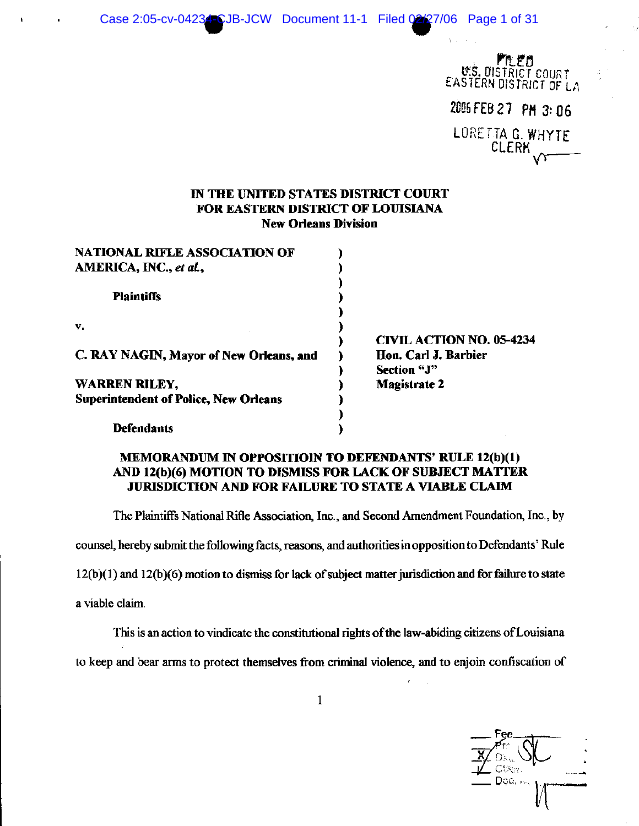Case 2:05-cv-04234 CJB-JCW Document 11-1 Filed 02/27/06 Page 1 of 31

LEO **U.S. DISTRICT COURT** EASTERN DISTRICT OF LA 2006 FEB 27 PM 3: 06 LORETTA G. WHYTE **CLERK** 

# IN THE UNITED STATES DISTRICT COURT FOR EASTERN DISTRICT OF LOUISIANA **New Orleans Division**

| <b>NATIONAL RIFLE ASSOCIATION OF</b>         |                                 |
|----------------------------------------------|---------------------------------|
| AMERICA, INC., et al.,                       |                                 |
|                                              |                                 |
| <b>Plaintiffs</b>                            |                                 |
|                                              |                                 |
| v.                                           |                                 |
|                                              | <b>CIVIL ACTION NO. 05-4234</b> |
| C. RAY NAGIN, Mayor of New Orleans, and      | Hon. Carl J. Barbier            |
|                                              | Section "J"                     |
| <b>WARREN RILEY,</b>                         | <b>Magistrate 2</b>             |
| <b>Superintendent of Police, New Orleans</b> |                                 |
|                                              |                                 |
| <b>Defendants</b>                            |                                 |

# MEMORANDUM IN OPPOSITIOIN TO DEFENDANTS' RULE 12(b)(1) AND 12(b)(6) MOTION TO DISMISS FOR LACK OF SUBJECT MATTER JURISDICTION AND FOR FAILURE TO STATE A VIABLE CLAIM

The Plaintiffs National Rifle Association, Inc., and Second Amendment Foundation, Inc., by

counsel, hereby submit the following facts, reasons, and authorities in opposition to Defendants' Rule

 $12(b)(1)$  and  $12(b)(6)$  motion to dismiss for lack of subject matter jurisdiction and for failure to state

a viable claim.

This is an action to vindicate the constitutional rights of the law-abiding citizens of Louisiana

to keep and bear arms to protect themselves from criminal violence, and to enjoin confiscation of

 $C\langle \tilde{\nu} \rangle_{\mathcal{U}}$ Doc.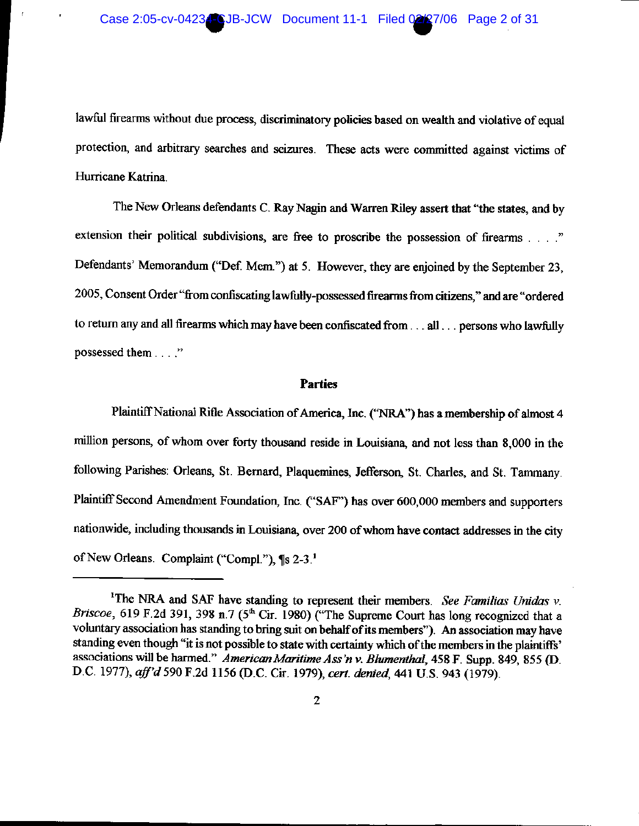lawful firearms without due process, discriminatory policies based on wealth and violative of equal protection, and arbitrary searches and seizures. These acts were committed against victims of Hurricane Katrina.

The New Orleans defendants C. Ray Nagin and Warren Riley assert that "the states, and by extension their political subdivisions, are free to proscribe the possession of firearms Defendants' Memorandum ("Def. Mem.") at 5. However, they are enjoined by the September 23, 2005, Consent Order "from confiscating lawfully-possessed firearms from citizens," and are "ordered to return any and all firearms which may have been confiscated from . . . all . . . persons who lawfully possessed them . . . ."

#### **Parties**

Plaintiff National Rifle Association of America, Inc. ("NRA") has a membership of almost 4 million persons, of whom over forty thousand reside in Louisiana, and not less than 8,000 in the following Parishes: Orleans, St. Bernard, Plaquemines, Jefferson, St. Charles, and St. Tammany. Plaintiff Second Amendment Foundation, Inc. ("SAF") has over 600,000 members and supporters nationwide, including thousands in Louisiana, over 200 of whom have contact addresses in the city of New Orleans. Complaint ("Compl."), ¶s 2-3.<sup>1</sup>

<sup>&</sup>lt;sup>1</sup>The NRA and SAF have standing to represent their members. See Familias Unidas  $v$ . Briscoe, 619 F.2d 391, 398 n.7 (5<sup>th</sup> Cir. 1980) ("The Supreme Court has long recognized that a voluntary association has standing to bring suit on behalf of its members"). An association may have standing even though "it is not possible to state with certainty which of the members in the plaintiffs' associations will be harmed." American Maritime Ass'n v. Blumenthal, 458 F. Supp. 849, 855 (D. D.C. 1977), aff'd 590 F.2d 1156 (D.C. Cir. 1979), cert. denied, 441 U.S. 943 (1979).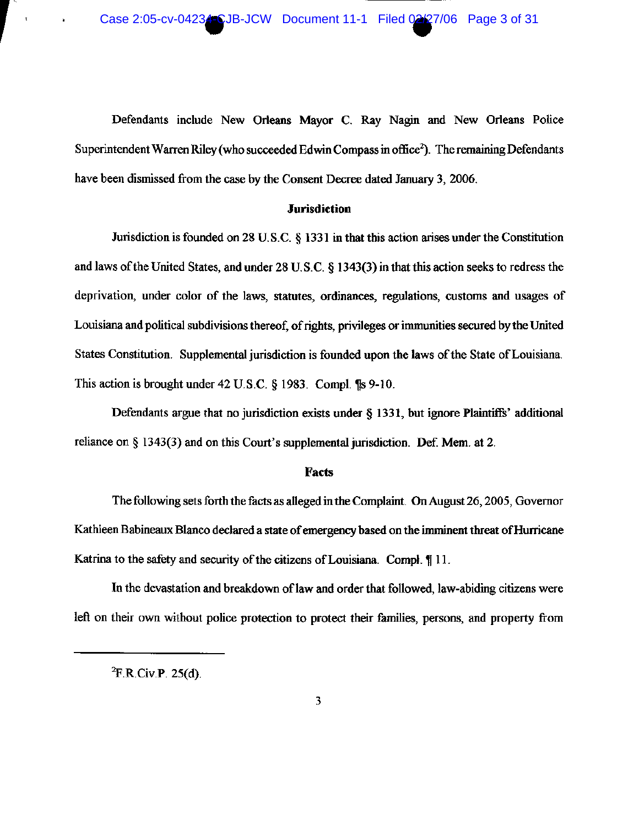Defendants include New Orleans Mayor C. Ray Nagin and New Orleans Police Superintendent Warren Riley (who succeeded Edwin Compass in office<sup>2</sup>). The remaining Defendants have been dismissed from the case by the Consent Decree dated January 3, 2006.

### **Jurisdiction**

Jurisdiction is founded on 28 U.S.C.  $\S$  1331 in that this action arises under the Constitution and laws of the United States, and under 28 U.S.C. § 1343(3) in that this action seeks to redress the deprivation, under color of the laws, statutes, ordinances, regulations, customs and usages of Louisiana and political subdivisions thereof, of rights, privileges or immunities secured by the United States Constitution. Supplemental jurisdiction is founded upon the laws of the State of Louisiana. This action is brought under  $42 \text{ U.S.C.}$  § 1983. Compl.  $\text{I} \text{I} \text{s}$  9-10.

Defendants argue that no jurisdiction exists under § 1331, but ignore Plaintiffs' additional reliance on  $\S$  1343(3) and on this Court's supplemental jurisdiction. Def. Mem. at 2.

#### **Facts**

The following sets forth the facts as alleged in the Complaint. On August 26, 2005, Governor Kathleen Babineaux Blanco declared a state of emergency based on the imminent threat of Hurricane Katrina to the safety and security of the citizens of Louisiana. Compl. 11.

In the devastation and breakdown of law and order that followed, law-abiding citizens were left on their own without police protection to protect their families, persons, and property from

 ${}^{2}F.R.Civ.P. 25(d).$ 

 $\mathbf{t}$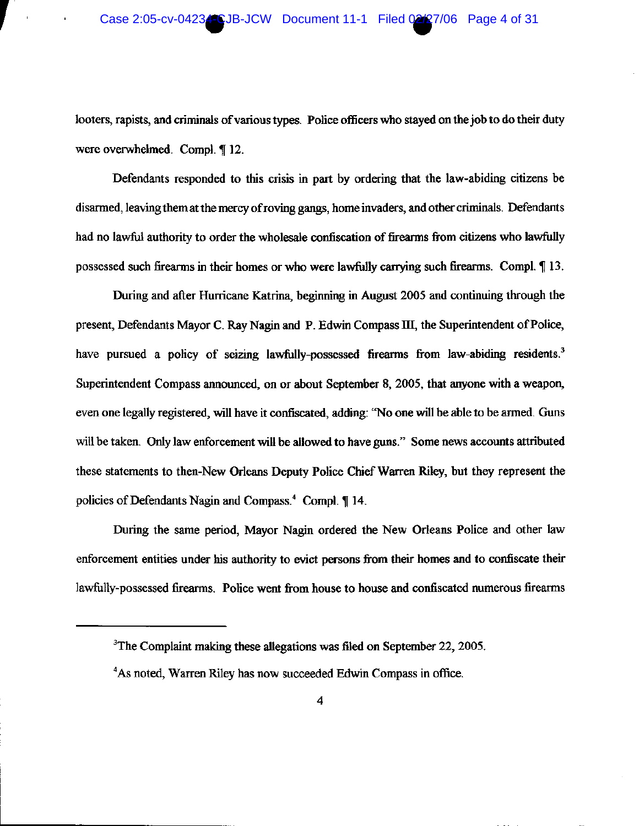looters, rapists, and criminals of various types. Police officers who stayed on the job to do their duty were overwhelmed. Compl. ¶ 12.

Defendants responded to this crisis in part by ordering that the law-abiding citizens be disarmed, leaving them at the mercy of roving gangs, home invaders, and other criminals. Defendants had no lawful authority to order the wholesale confiscation of firearms from citizens who lawfully possessed such firearms in their homes or who were lawfully carrying such firearms. Compl. 113.

During and after Hurricane Katrina, beginning in August 2005 and continuing through the present, Defendants Mayor C. Ray Nagin and P. Edwin Compass III, the Superintendent of Police, have pursued a policy of seizing lawfully-possessed firearms from law-abiding residents.<sup>3</sup> Superintendent Compass announced, on or about September 8, 2005, that anyone with a weapon, even one legally registered, will have it confiscated, adding: "No one will be able to be armed. Guns will be taken. Only law enforcement will be allowed to have guns." Some news accounts attributed these statements to then-New Orleans Deputy Police Chief Warren Riley, but they represent the policies of Defendants Nagin and Compass.<sup>4</sup> Compl. ¶ 14.

During the same period, Mayor Nagin ordered the New Orleans Police and other law enforcement entities under his authority to evict persons from their homes and to confiscate their lawfully-possessed firearms. Police went from house to house and confiscated numerous firearms

 $3$ The Complaint making these allegations was filed on September 22, 2005.

<sup>&</sup>lt;sup>4</sup>As noted, Warren Riley has now succeeded Edwin Compass in office.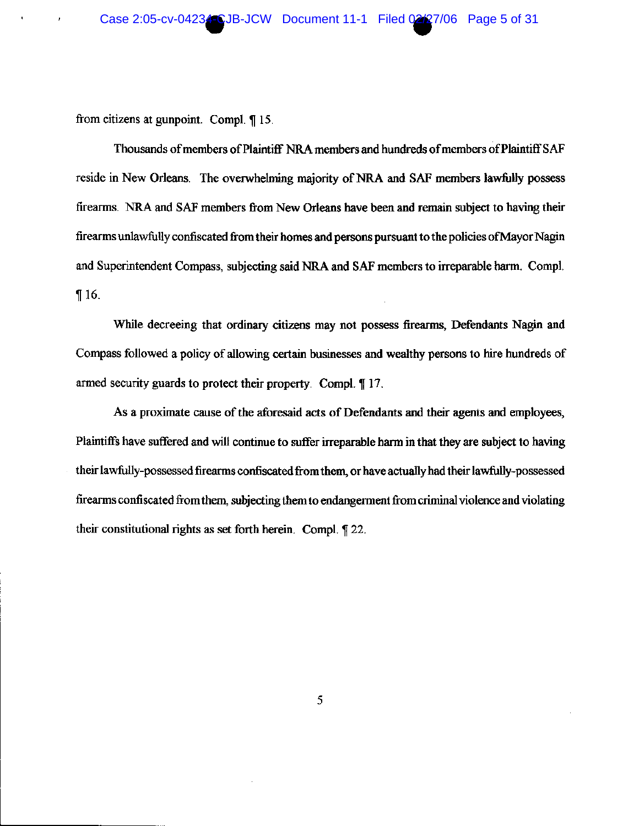from citizens at gunpoint. Compl. ¶ 15.

 $\mathbf{u}$  .

Thousands of members of Plaintiff NRA members and hundreds of members of Plaintiff SAF reside in New Orleans. The overwhelming majority of NRA and SAF members lawfully possess firearms. NRA and SAF members from New Orleans have been and remain subject to having their fire arms unlawfully confiscated from their homes and persons pursuant to the policies of Mayor Nagin and Superintendent Compass, subjecting said NRA and SAF members to irreparable harm. Compl.  $\P 16.$ 

While decreeing that ordinary citizens may not possess firearms, Defendants Nagin and Compass followed a policy of allowing certain businesses and wealthy persons to hire hundreds of armed security guards to protect their property. Compl. 17.

As a proximate cause of the aforesaid acts of Defendants and their agents and employees, Plaintiffs have suffered and will continue to suffer irreparable harm in that they are subject to having their lawfully-possessed firearms confiscated from them, or have actually had their lawfully-possessed firearms confiscated from them, subjecting them to endangerment from criminal violence and violating their constitutional rights as set forth herein. Compl. ¶ 22.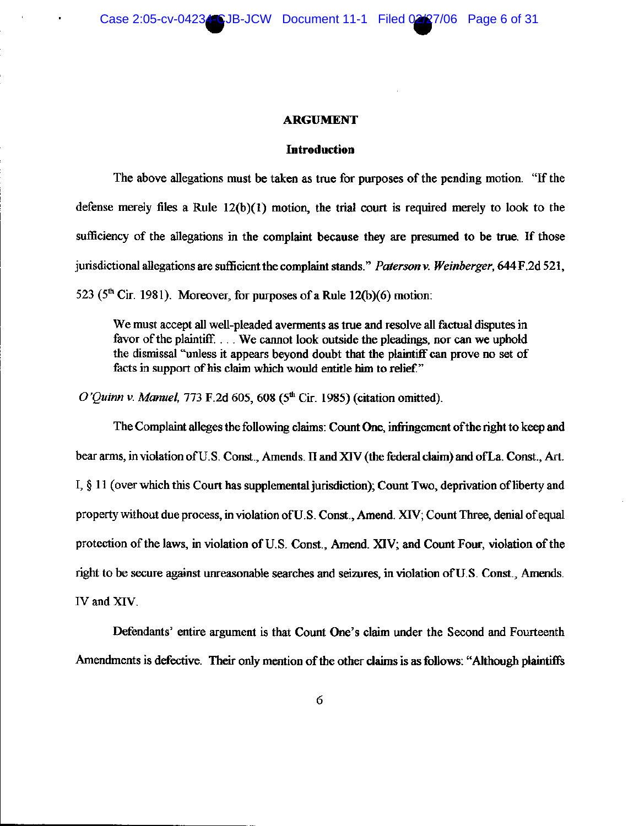#### **ARGUMENT**

#### **Introduction**

The above allegations must be taken as true for purposes of the pending motion. "If the defense merely files a Rule  $12(b)(1)$  motion, the trial court is required merely to look to the sufficiency of the allegations in the complaint because they are presumed to be true. If those jurisdictional allegations are sufficient the complaint stands." Paterson v. Weinberger, 644 F.2d 521, 523 ( $5<sup>th</sup>$  Cir. 1981). Moreover, for purposes of a Rule 12(b)(6) motion:

We must accept all well-pleaded averments as true and resolve all factual disputes in favor of the plaintiff... We cannot look outside the pleadings, nor can we uphold the dismissal "unless it appears beyond doubt that the plaintiff can prove no set of facts in support of his claim which would entitle him to relief."

O'Quinn v. Manuel, 773 F.2d 605, 608 ( $5<sup>th</sup>$  Cir. 1985) (citation omitted).

The Complaint alleges the following claims: Count One, infringement of the right to keep and bear arms, in violation of U.S. Const., Amends. II and XIV (the federal claim) and of La. Const., Art. I, § 11 (over which this Court has supplemental jurisdiction); Count Two, deprivation of liberty and property without due process, in violation of U.S. Const., Amend. XIV; Count Three, denial of equal protection of the laws, in violation of U.S. Const., Amend. XIV; and Count Four, violation of the right to be secure against unreasonable searches and seizures, in violation of U.S. Const., Amends. IV and XIV.

Defendants' entire argument is that Count One's claim under the Second and Fourteenth Amendments is defective. Their only mention of the other claims is as follows: "Although plaintiffs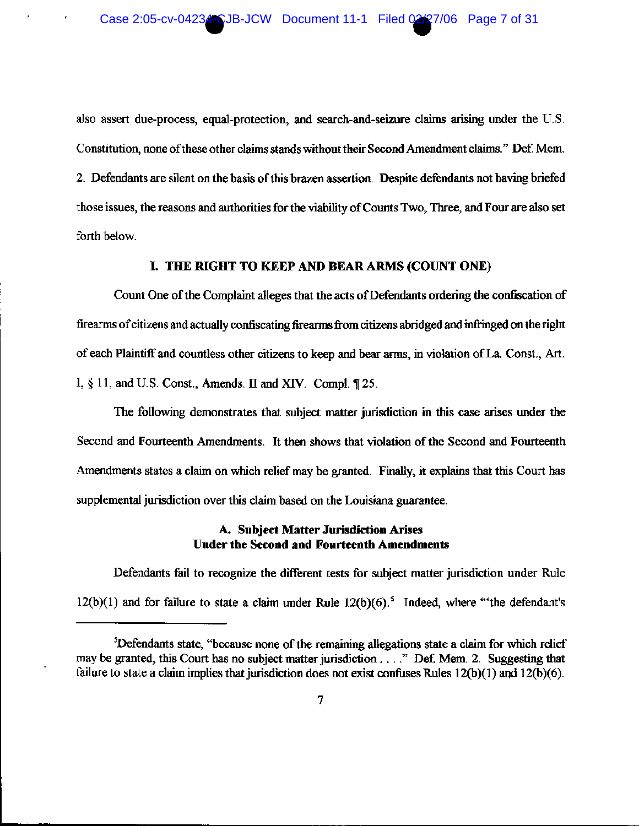also assert due-process, equal-protection, and search-and-seizure claims arising under the U.S. Constitution, none of these other claims stands without their Second Amendment claims." Def. Mem. 2. Defendants are silent on the basis of this brazen assertion. Despite defendants not having briefed those issues, the reasons and authorities for the viability of Counts Two, Three, and Four are also set forth below.

## I. THE RIGHT TO KEEP AND BEAR ARMS (COUNT ONE)

Count One of the Complaint alleges that the acts of Defendants ordering the confiscation of firearms of citizens and actually confiscating firearms from citizens abridged and infringed on the right of each Plaintiff and countless other citizens to keep and bear arms, in violation of La. Const., Art. I,  $\S$  11, and U.S. Const., Amends. II and XIV. Compl.  $\P$  25.

The following demonstrates that subject matter jurisdiction in this case arises under the Second and Fourteenth Amendments. It then shows that violation of the Second and Fourteenth Amendments states a claim on which relief may be granted. Finally, it explains that this Court has supplemental jurisdiction over this claim based on the Louisiana guarantee.

### A. Subject Matter Jurisdiction Arises **Under the Second and Fourteenth Amendments**

Defendants fail to recognize the different tests for subject matter jurisdiction under Rule  $12(b)(1)$  and for failure to state a claim under Rule  $12(b)(6)$ .<sup>5</sup> Indeed, where "the defendant's

<sup>&</sup>lt;sup>5</sup>Defendants state, "because none of the remaining allegations state a claim for which relief may be granted, this Court has no subject matter jurisdiction . . . ." Def. Mem. 2. Suggesting that failure to state a claim implies that jurisdiction does not exist confuses Rules  $12(b)(1)$  and  $12(b)(6)$ .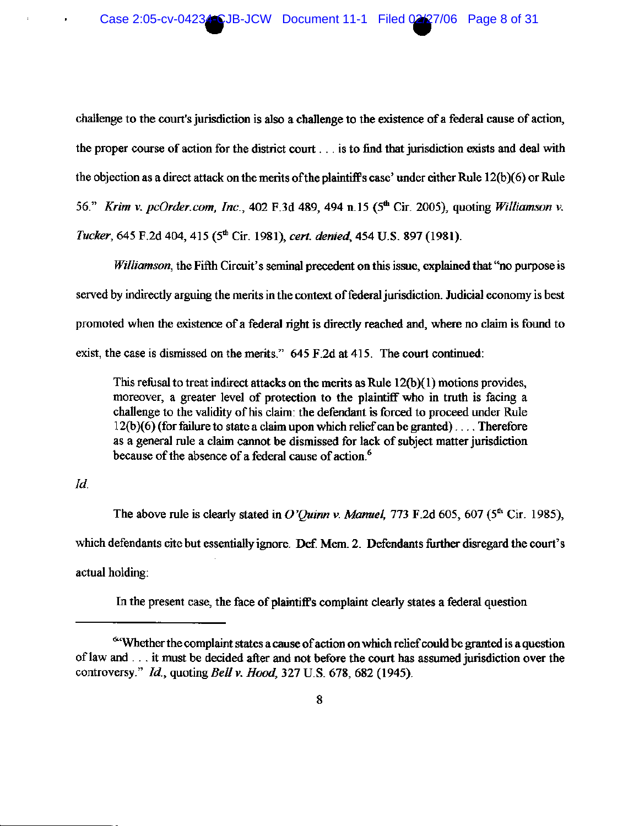challenge to the court's jurisdiction is also a challenge to the existence of a federal cause of action, the proper course of action for the district court . . . is to find that jurisdiction exists and deal with the objection as a direct attack on the merits of the plaintiff's case' under either Rule  $12(b)(6)$  or Rule 56." Krim v. pcOrder.com, Inc., 402 F.3d 489, 494 n.15 (5th Cir. 2005), quoting Williamson v. Tucker, 645 F.2d 404, 415 (5<sup>th</sup> Cir. 1981), cert. denied, 454 U.S. 897 (1981).

Williamson, the Fifth Circuit's seminal precedent on this issue, explained that "no purpose is served by indirectly arguing the merits in the context of federal jurisdiction. Judicial economy is best promoted when the existence of a federal right is directly reached and, where no claim is found to exist, the case is dismissed on the merits." 645 F.2d at 415. The court continued:

This refusal to treat indirect attacks on the merits as Rule  $12(b)(1)$  motions provides, moreover, a greater level of protection to the plaintiff who in truth is facing a challenge to the validity of his claim: the defendant is forced to proceed under Rule  $12(b)(6)$  (for failure to state a claim upon which relief can be granted)... Therefore as a general rule a claim cannot be dismissed for lack of subject matter jurisdiction because of the absence of a federal cause of action.<sup>6</sup>

 $Id$ .

The above rule is clearly stated in O'Ouinn v. Manuel, 773 F.2d 605, 607 ( $5<sup>th</sup>$  Cir. 1985), which defendants cite but essentially ignore. Def. Mem. 2. Defendants further disregard the court's actual holding:

In the present case, the face of plaintiff's complaint clearly states a federal question

<sup>&</sup>quot;Whether the complaint states a cause of action on which relief could be granted is a question of law and . . . it must be decided after and not before the court has assumed jurisdiction over the controversy." Id., quoting Bell v. Hood, 327 U.S. 678, 682 (1945).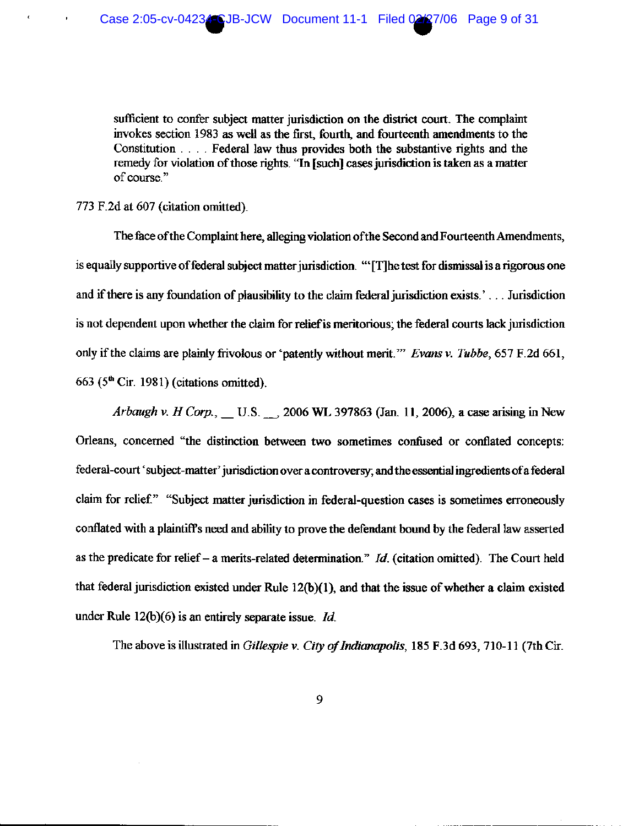sufficient to confer subject matter jurisdiction on the district court. The complaint invokes section 1983 as well as the first, fourth, and fourteenth amendments to the Constitution . . . . Federal law thus provides both the substantive rights and the remedy for violation of those rights. "In [such] cases jurisdiction is taken as a matter of course."

### 773 F.2d at 607 (citation omitted).

The face of the Complaint here, alleging violation of the Second and Fourteenth Amendments, is equally supportive of federal subject matter jurisdiction. "The test for dismissal is a rigorous one and if there is any foundation of plausibility to the claim federal jurisdiction exists.'... Jurisdiction is not dependent upon whether the claim for relief is meritorious; the federal courts lack jurisdiction only if the claims are plainly frivolous or 'patently without merit.'" Evans v. Tubbe, 657 F.2d 661, 663 ( $5<sup>th</sup>$  Cir. 1981) (citations omitted).

Arbaugh v. H Corp., \_\_ U.S. \_\_, 2006 WL 397863 (Jan. 11, 2006), a case arising in New Orleans, concerned "the distinction between two sometimes confused or conflated concepts: federal-court 'subject-matter' jurisdiction over a controversy; and the essential ingredients of a federal claim for relief." "Subject matter jurisdiction in federal-question cases is sometimes erroneously conflated with a plaintiff's need and ability to prove the defendant bound by the federal law asserted as the predicate for relief – a merits-related determination."  $Id$ . (citation omitted). The Court held that federal jurisdiction existed under Rule 12(b)(1), and that the issue of whether a claim existed under Rule  $12(b)(6)$  is an entirely separate issue. *Id.* 

The above is illustrated in Gillespie v. City of Indianapolis, 185 F.3d 693, 710-11 (7th Cir.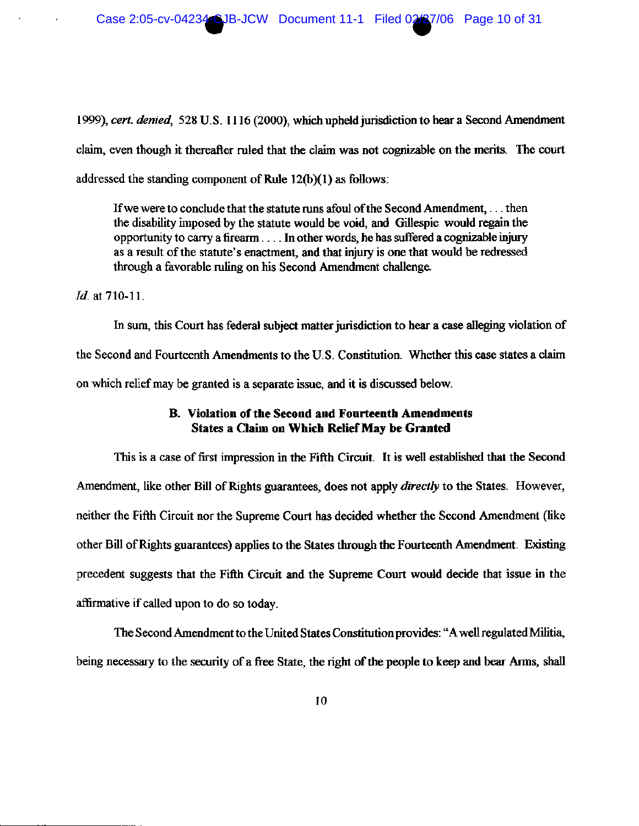1999), cert. denied, 528 U.S. 1116 (2000), which upheld jurisdiction to hear a Second Amendment claim, even though it thereafter ruled that the claim was not cognizable on the merits. The court addressed the standing component of Rule 12(b)(1) as follows:

If we were to conclude that the statute runs afoul of the Second Amendment, ... then the disability imposed by the statute would be void, and Gillespie would regain the opportunity to carry a firearm . . . . In other words, he has suffered a cognizable injury as a result of the statute's enactment, and that injury is one that would be redressed through a favorable ruling on his Second Amendment challenge.

Id. at 710-11.

In sum, this Court has federal subject matter jurisdiction to hear a case alleging violation of the Second and Fourteenth Amendments to the U.S. Constitution. Whether this case states a claim on which relief may be granted is a separate issue, and it is discussed below.

# **B.** Violation of the Second and Fourteenth Amendments **States a Claim on Which Relief May be Granted**

This is a case of first impression in the Fifth Circuit. It is well established that the Second Amendment, like other Bill of Rights guarantees, does not apply *directly* to the States. However, neither the Fifth Circuit nor the Supreme Court has decided whether the Second Amendment (like other Bill of Rights guarantees) applies to the States through the Fourteenth Amendment. Existing precedent suggests that the Fifth Circuit and the Supreme Court would decide that issue in the affirmative if called upon to do so today.

The Second Amendment to the United States Constitution provides: "A well regulated Militia, being necessary to the security of a free State, the right of the people to keep and bear Arms, shall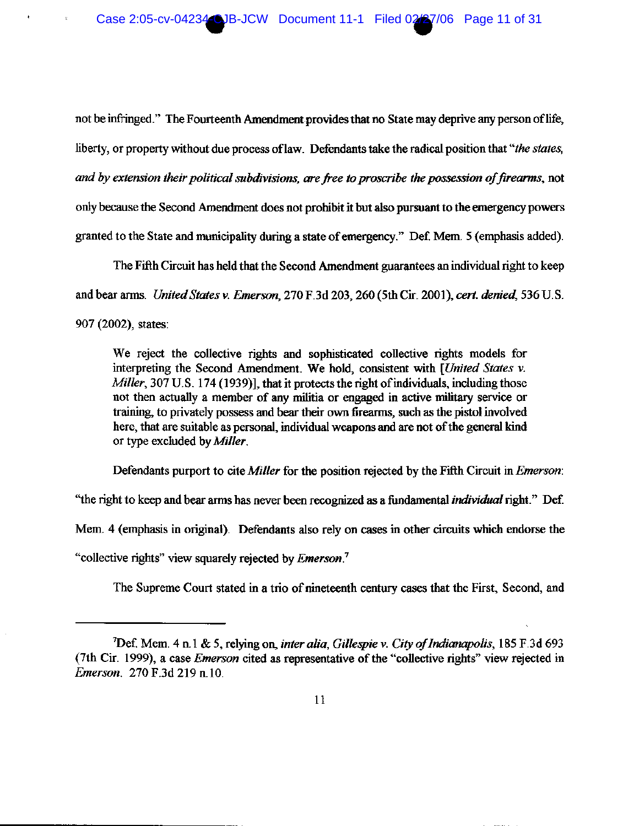not be infringed." The Fourteenth Amendment provides that no State may deprive any person of life, liberty, or property without due process of law. Defendants take the radical position that "the states, and by extension their political subdivisions, are free to proscribe the possession of firearms, not only because the Second Amendment does not prohibit it but also pursuant to the emergency powers granted to the State and municipality during a state of emergency." Def. Mem. 5 (emphasis added).

The Fifth Circuit has held that the Second Amendment guarantees an individual right to keep and bear arms. United States v. Emerson, 270 F.3d 203, 260 (5th Cir. 2001), cert. denied, 536 U.S. 907 (2002), states:

We reject the collective rights and sophisticated collective rights models for interpreting the Second Amendment. We hold, consistent with [United States v. Miller, 307 U.S. 174 (1939)], that it protects the right of individuals, including those not then actually a member of any militia or engaged in active military service or training, to privately possess and bear their own firearms, such as the pistol involved here, that are suitable as personal, individual weapons and are not of the general kind or type excluded by Miller.

Defendants purport to cite Miller for the position rejected by the Fifth Circuit in *Emerson*:

"the right to keep and bear arms has never been recognized as a fundamental *individual* right." Def.

Mem. 4 (emphasis in original). Defendants also rely on cases in other circuits which endorse the

"collective rights" view squarely rejected by *Emerson*."

The Supreme Court stated in a trio of nineteenth century cases that the First, Second, and

<sup>&</sup>lt;sup>7</sup>Def. Mem. 4 n.1 & 5, relying on, *inter alia, Gillespie v. City of Indianapolis*, 185 F.3d 693 (7th Cir. 1999), a case *Emerson* cited as representative of the "collective rights" view rejected in Emerson. 270 F.3d 219 n.10.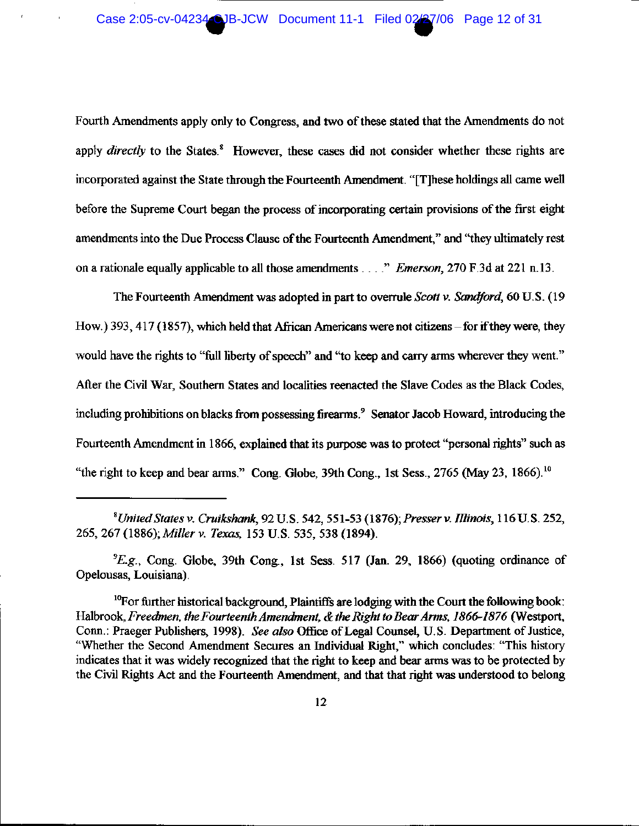Fourth Amendments apply only to Congress, and two of these stated that the Amendments do not apply *directly* to the States.<sup>8</sup> However, these cases did not consider whether these rights are incorporated against the State through the Fourteenth Amendment. "[T] hese holdings all came well before the Supreme Court began the process of incorporating certain provisions of the first eight amendments into the Due Process Clause of the Fourteenth Amendment," and "they ultimately rest on a rationale equally applicable to all those amendments . . . ." *Emerson*, 270 F.3d at 221 n.13.

The Fourteenth Amendment was adopted in part to overrule Scott v. Sandford, 60 U.S. (19) How.) 393, 417 (1857), which held that African Americans were not citizens - for if they were, they would have the rights to "full liberty of speech" and "to keep and carry arms wherever they went." After the Civil War, Southern States and localities reenacted the Slave Codes as the Black Codes, including prohibitions on blacks from possessing firearms.<sup>9</sup> Senator Jacob Howard, introducing the Fourteenth Amendment in 1866, explained that its purpose was to protect "personal rights" such as "the right to keep and bear arms." Cong. Globe, 39th Cong., 1st Sess., 2765 (May 23, 1866).<sup>10</sup>

 ${}^{9}E.g.,$  Cong. Globe, 39th Cong., 1st Sess. 517 (Jan. 29, 1866) (quoting ordinance of Opelousas, Louisiana).

<sup>&</sup>lt;sup>8</sup>United States v. Cruikshank, 92 U.S. 542, 551-53 (1876); Presser v. Illinois, 116 U.S. 252, 265, 267 (1886); Miller v. Texas, 153 U.S. 535, 538 (1894).

<sup>&</sup>lt;sup>10</sup>For further historical background, Plaintiffs are lodging with the Court the following book: Halbrook, Freedmen, the Fourteenth Amendment, & the Right to Bear Arms, 1866-1876 (Westport, Conn.: Praeger Publishers, 1998). See also Office of Legal Counsel, U.S. Department of Justice, "Whether the Second Amendment Secures an Individual Right," which concludes: "This history indicates that it was widely recognized that the right to keep and bear arms was to be protected by the Civil Rights Act and the Fourteenth Amendment, and that that right was understood to belong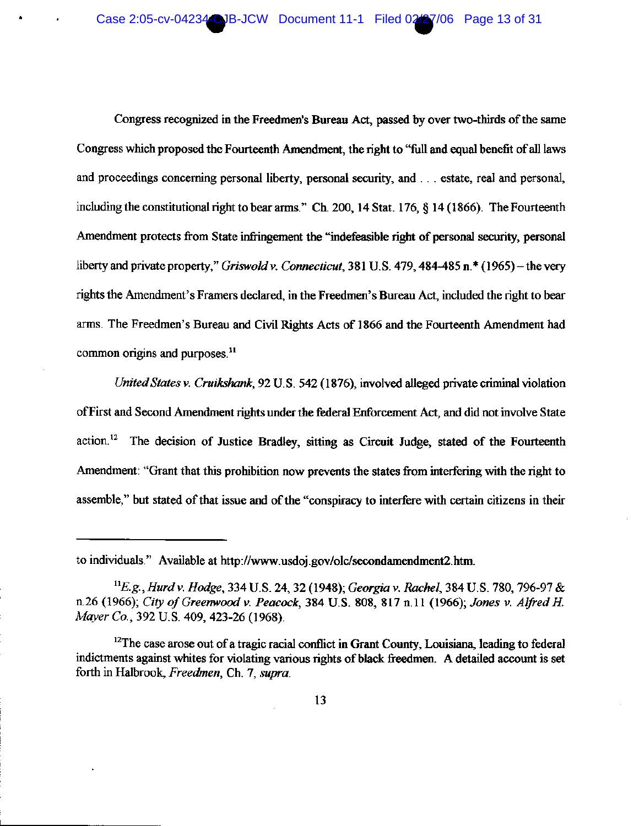Congress recognized in the Freedmen's Bureau Act, passed by over two-thirds of the same Congress which proposed the Fourteenth Amendment, the right to "full and equal benefit of all laws and proceedings concerning personal liberty, personal security, and ... estate, real and personal, including the constitutional right to bear arms." Ch. 200, 14 Stat. 176, § 14 (1866). The Fourteenth Amendment protects from State infringement the "indefeasible right of personal security, personal liberty and private property," Griswold v. Connecticut, 381 U.S. 479, 484-485 n.  $*(1965)$  – the very rights the Amendment's Framers declared, in the Freedmen's Bureau Act, included the right to bear arms. The Freedmen's Bureau and Civil Rights Acts of 1866 and the Fourteenth Amendment had common origins and purposes.<sup>11</sup>

United States v. Cruikshank, 92 U.S. 542 (1876), involved alleged private criminal violation of First and Second Amendment rights under the federal Enforcement Act, and did not involve State action.<sup>12</sup> The decision of Justice Bradley, sitting as Circuit Judge, stated of the Fourteenth Amendment: "Grant that this prohibition now prevents the states from interfering with the right to assemble," but stated of that issue and of the "conspiracy to interfere with certain citizens in their

to individuals." Available at http://www.usdoj.gov/olc/secondamendment2.htm.

<sup>&</sup>lt;sup>11</sup>E.g., Hurd v. Hodge, 334 U.S. 24, 32 (1948); Georgia v. Rachel, 384 U.S. 780, 796-97 & n.26 (1966); City of Greenwood v. Peacock, 384 U.S. 808, 817 n.11 (1966); Jones v. Alfred H. Mayer Co., 392 U.S. 409, 423-26 (1968).

<sup>&</sup>lt;sup>12</sup>The case arose out of a tragic racial conflict in Grant County, Louisiana, leading to federal indictments against whites for violating various rights of black freedmen. A detailed account is set forth in Halbrook, Freedmen, Ch. 7, supra.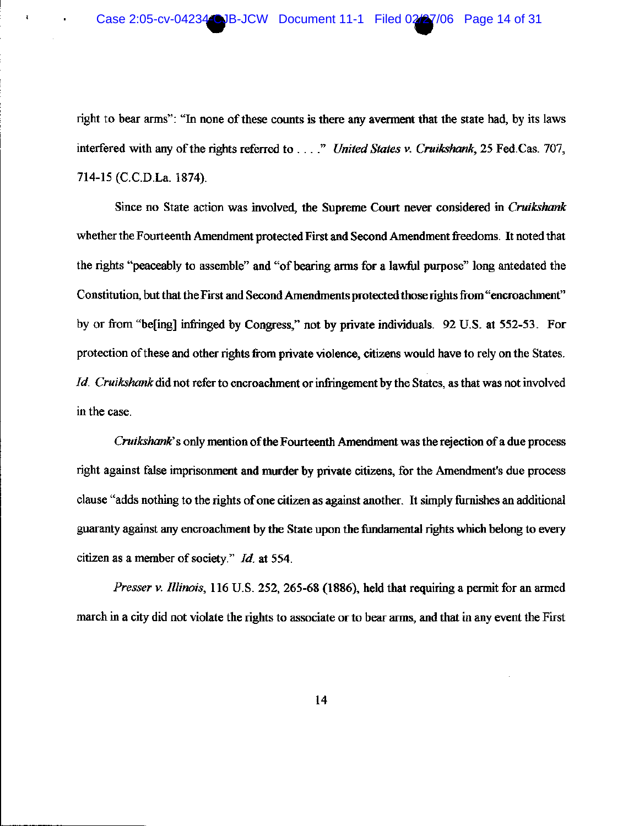$\mathfrak{r}$ 

right to bear arms": "In none of these counts is there any averment that the state had, by its laws interfered with any of the rights referred to . . . ." United States v. Cruikshank, 25 Fed.Cas. 707, 714-15 (C.C.D.La. 1874).

Since no State action was involved, the Supreme Court never considered in Cruikshank whether the Fourteenth Amendment protected First and Second Amendment freedoms. It noted that the rights "peaceably to assemble" and "of bearing arms for a lawful purpose" long antedated the Constitution, but that the First and Second Amendments protected those rights from "encroachment" by or from "befing] infringed by Congress," not by private individuals. 92 U.S. at 552-53. For protection of these and other rights from private violence, citizens would have to rely on the States. *Id. Cruikshank* did not refer to encroachment or infringement by the States, as that was not involved in the case.

Cruikshank's only mention of the Fourteenth Amendment was the rejection of a due process right against false imprisonment and murder by private citizens, for the Amendment's due process clause "adds nothing to the rights of one citizen as against another. It simply furnishes an additional guaranty against any encroachment by the State upon the fundamental rights which belong to every citizen as a member of society." Id. at 554.

Presser v. Illinois, 116 U.S. 252, 265-68 (1886), held that requiring a permit for an armed march in a city did not violate the rights to associate or to bear arms, and that in any event the First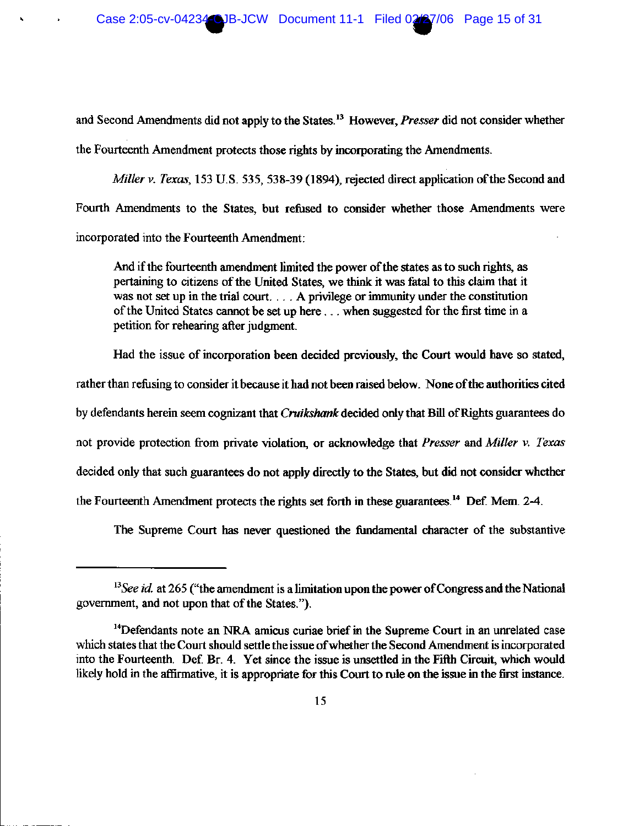and Second Amendments did not apply to the States.<sup>13</sup> However, *Presser* did not consider whether the Fourteenth Amendment protects those rights by incorporating the Amendments.

Miller v. Texas, 153 U.S. 535, 538-39 (1894), rejected direct application of the Second and Fourth Amendments to the States, but refused to consider whether those Amendments were incorporated into the Fourteenth Amendment:

And if the fourteenth amendment limited the power of the states as to such rights, as pertaining to citizens of the United States, we think it was fatal to this claim that it was not set up in the trial court... A privilege or immunity under the constitution of the United States cannot be set up here ... when suggested for the first time in a petition for rehearing after judgment.

Had the issue of incorporation been decided previously, the Court would have so stated,

rather than refusing to consider it because it had not been raised below. None of the authorities cited by defendants herein seem cognizant that Cruikshank decided only that Bill of Rights guarantees do not provide protection from private violation, or acknowledge that Presser and Miller v. Texas decided only that such guarantees do not apply directly to the States, but did not consider whether the Fourteenth Amendment protects the rights set forth in these guarantees.<sup>14</sup> Def. Mem. 2-4.

The Supreme Court has never questioned the fundamental character of the substantive

 $13$  See id. at 265 ("the amendment is a limitation upon the power of Congress and the National government, and not upon that of the States.").

<sup>&</sup>lt;sup>14</sup>Defendants note an NRA amicus curiae brief in the Supreme Court in an unrelated case which states that the Court should settle the issue of whether the Second Amendment is incorporated into the Fourteenth. Def. Br. 4. Yet since the issue is unsettled in the Fifth Circuit, which would likely hold in the affirmative, it is appropriate for this Court to rule on the issue in the first instance.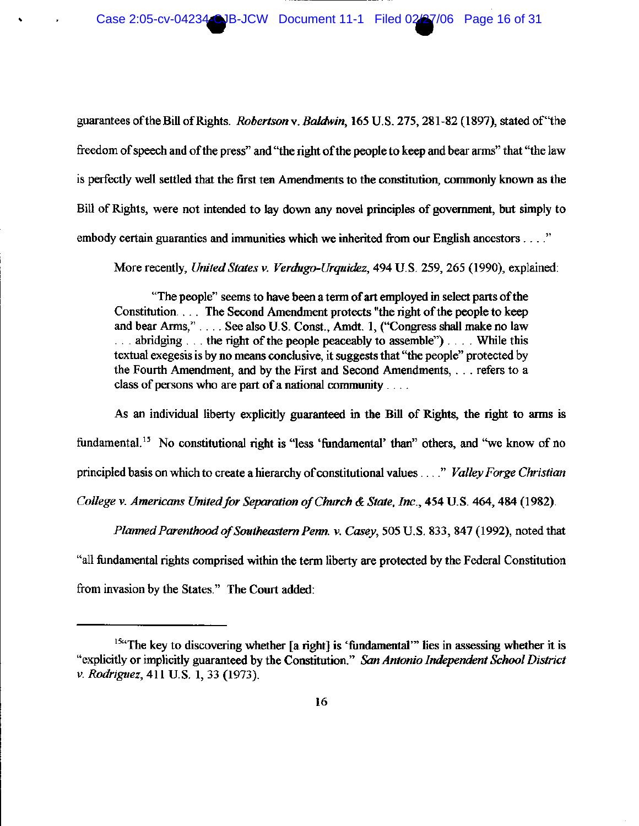guarantees of the Bill of Rights. Robertson v. Baldwin, 165 U.S. 275, 281-82 (1897), stated of "the freedom of speech and of the press" and "the right of the people to keep and bear arms" that "the law is perfectly well settled that the first ten Amendments to the constitution, commonly known as the Bill of Rights, were not intended to lay down any novel principles of government, but simply to embody certain guaranties and immunities which we inherited from our English ancestors . . . ."

More recently, United States v. Verdugo-Urquidez, 494 U.S. 259, 265 (1990), explained:

"The people" seems to have been a term of art employed in select parts of the Constitution... The Second Amendment protects "the right of the people to keep and bear Arms," . . . . See also U.S. Const., Amdt. 1, ("Congress shall make no law  $\ldots$  abridging  $\ldots$  the right of the people peaceably to assemble")... While this textual exeges is by no means conclusive, it suggests that "the people" protected by the Fourth Amendment, and by the First and Second Amendments, ... refers to a class of persons who are part of a national community  $\ldots$ .

As an individual liberty explicitly guaranteed in the Bill of Rights, the right to arms is fundamental.<sup>15</sup> No constitutional right is "less 'fundamental' than" others, and "we know of no principled basis on which to create a hierarchy of constitutional values ...." Valley Forge Christian College v. Americans United for Separation of Church & State, Inc., 454 U.S. 464, 484 (1982).

Planned Parenthood of Southeastern Penn. v. Casey, 505 U.S. 833, 847 (1992), noted that "all fundamental rights comprised within the term liberty are protected by the Federal Constitution from invasion by the States." The Court added:

<sup>&</sup>lt;sup>15a</sup>The key to discovering whether [a right] is 'fundamental'" lies in assessing whether it is "explicitly or implicitly guaranteed by the Constitution." San Antonio Independent School District v. Rodriguez, 411 U.S. 1, 33 (1973).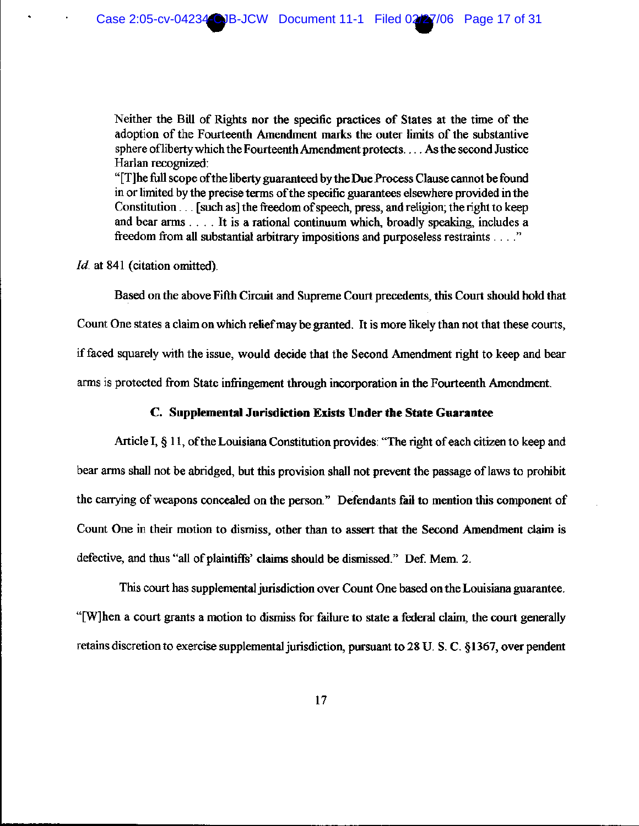Neither the Bill of Rights nor the specific practices of States at the time of the adoption of the Fourteenth Amendment marks the outer limits of the substantive sphere of liberty which the Fourteenth Amendment protects.... As the second Justice Harlan recognized:

"[T]he full scope of the liberty guaranteed by the Due Process Clause cannot be found in or limited by the precise terms of the specific guarantees elsewhere provided in the Constitution . . . [such as] the freedom of speech, press, and religion; the right to keep and bear arms . . . . It is a rational continuum which, broadly speaking, includes a freedom from all substantial arbitrary impositions and purposeless restraints . . . ."

*Id.* at 841 (citation omitted).

Based on the above Fifth Circuit and Supreme Court precedents, this Court should hold that Count One states a claim on which relief may be granted. It is more likely than not that these courts, if faced squarely with the issue, would decide that the Second Amendment right to keep and bear arms is protected from State infringement through incorporation in the Fourteenth Amendment.

#### C. Supplemental Jurisdiction Exists Under the State Guarantee

Article I, § 11, of the Louisiana Constitution provides: "The right of each citizen to keep and bear arms shall not be abridged, but this provision shall not prevent the passage of laws to prohibit the carrying of weapons concealed on the person." Defendants fail to mention this component of Count One in their motion to dismiss, other than to assert that the Second Amendment claim is defective, and thus "all of plaintiffs' claims should be dismissed." Def. Mem. 2.

This court has supplemental jurisdiction over Count One based on the Louisiana guarantee. "[W]hen a court grants a motion to dismiss for failure to state a federal claim, the court generally retains discretion to exercise supplemental jurisdiction, pursuant to 28 U.S.C. §1367, over pendent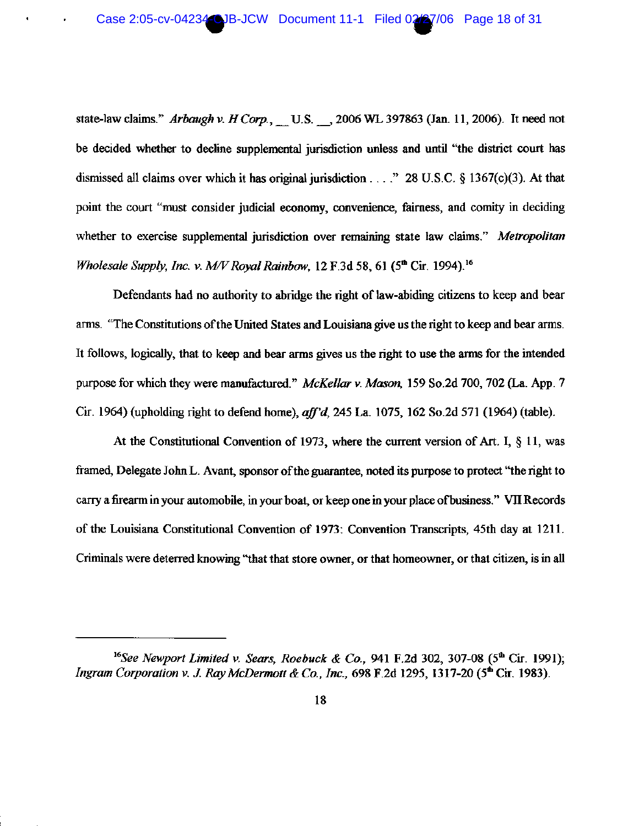state-law claims." Arbaugh v. H Corp., U.S. 3006 WL 397863 (Jan. 11, 2006). It need not be decided whether to decline supplemental jurisdiction unless and until "the district court has dismissed all claims over which it has original jurisdiction  $\ldots$ ." 28 U.S.C. § 1367(c)(3). At that point the court "must consider judicial economy, convenience, fairness, and comity in deciding whether to exercise supplemental jurisdiction over remaining state law claims." Metropolitan Wholesale Supply, Inc. v. M/V Royal Rainbow, 12 F.3d 58, 61 ( $5<sup>th</sup>$  Cir. 1994).<sup>16</sup>

Defendants had no authority to abridge the right of law-abiding citizens to keep and bear arms. "The Constitutions of the United States and Louisiana give us the right to keep and bear arms. It follows, logically, that to keep and bear arms gives us the right to use the arms for the intended purpose for which they were manufactured." McKellar v. Mason, 159 So.2d 700, 702 (La. App. 7 Cir. 1964) (upholding right to defend home), aff'd, 245 La. 1075, 162 So.2d 571 (1964) (table).

At the Constitutional Convention of 1973, where the current version of Art. I,  $\S$  11, was framed, Delegate John L. Avant, sponsor of the guarantee, noted its purpose to protect "the right to carry a firearm in your automobile, in your boat, or keep one in your place of business." VII Records of the Louisiana Constitutional Convention of 1973: Convention Transcripts, 45th day at 1211. Criminals were deterred knowing "that that store owner, or that homeowner, or that citizen, is in all

<sup>&</sup>lt;sup>16</sup>See Newport Limited v. Sears, Roebuck & Co., 941 F.2d 302, 307-08 (5<sup>th</sup> Cir. 1991); Ingram Corporation v. J. Ray McDermott & Co., Inc., 698 F.2d 1295, 1317-20 (5<sup>th</sup> Cir. 1983).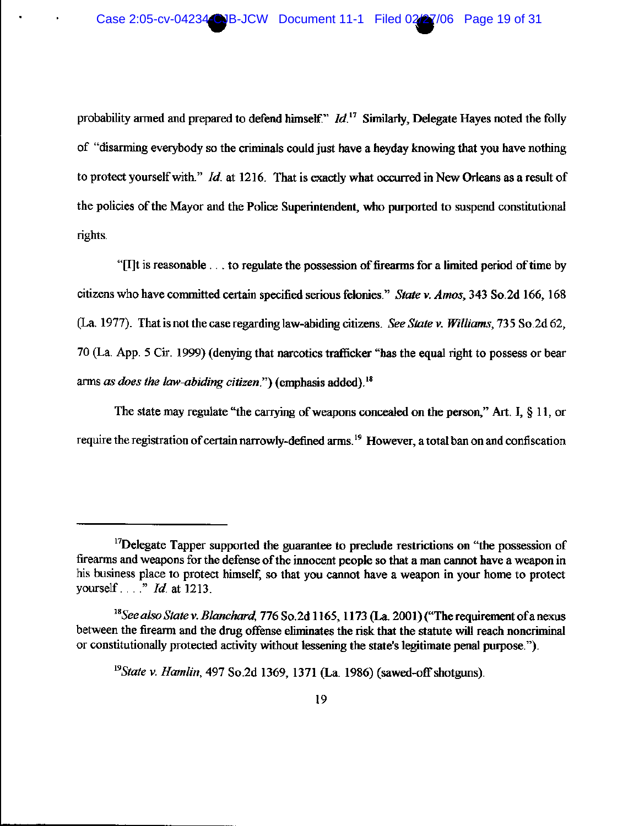probability armed and prepared to defend himself."  $Id$ <sup>17</sup> Similarly, Delegate Hayes noted the folly of "disarming everybody so the criminals could just have a heyday knowing that you have nothing to protect yourself with."  $Id$ . at 1216. That is exactly what occurred in New Orleans as a result of the policies of the Mayor and the Police Superintendent, who purported to suspend constitutional rights.

"[I]t is reasonable . . . to regulate the possession of firearms for a limited period of time by citizens who have committed certain specified serious felonies." State v. Amos, 343 So.2d 166, 168 (La. 1977). That is not the case regarding law-abiding citizens. See State v. Williams, 735 So.2d 62, 70 (La. App. 5 Cir. 1999) (denying that narcotics trafficker "has the equal right to possess or bear arms as does the law-abiding citizen.") (emphasis added).<sup>18</sup>

The state may regulate "the carrying of weapons concealed on the person," Art. I,  $\S$  11, or require the registration of certain narrowly-defined arms.<sup>19</sup> However, a total ban on and confiscation

<sup>&</sup>lt;sup>17</sup>Delegate Tapper supported the guarantee to preclude restrictions on "the possession of firearms and weapons for the defense of the innocent people so that a man cannot have a weapon in his business place to protect himself, so that you cannot have a weapon in your home to protect yourself  $\ldots$ " *Id.* at 1213.

<sup>&</sup>lt;sup>18</sup>See also State v. Blanchard, 776 So.2d 1165, 1173 (La. 2001) ("The requirement of a nexus between the firearm and the drug offense eliminates the risk that the statute will reach noncriminal or constitutionally protected activity without lessening the state's legitimate penal purpose.").

<sup>&</sup>lt;sup>19</sup>State v. Hamlin, 497 So.2d 1369, 1371 (La. 1986) (sawed-off shotguns).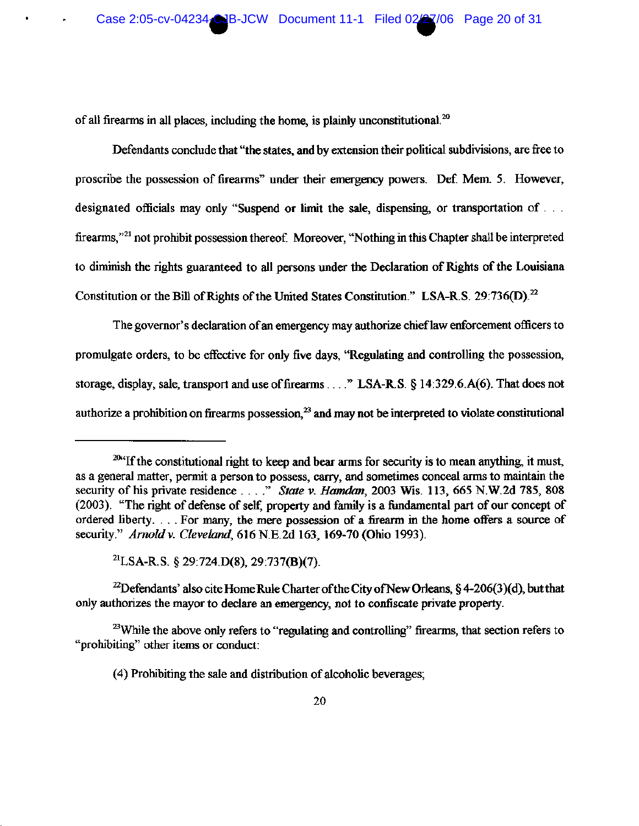of all firearms in all places, including the home, is plainly unconstitutional. $^{20}$ 

Defendants conclude that "the states, and by extension their political subdivisions, are free to proscribe the possession of firearms" under their emergency powers. Def. Mem. 5. However, designated officials may only "Suspend or limit the sale, dispensing, or transportation of ... firearms,"<sup>21</sup> not prohibit possession thereof. Moreover, "Nothing in this Chapter shall be interpreted to diminish the rights guaranteed to all persons under the Declaration of Rights of the Louisiana Constitution or the Bill of Rights of the United States Constitution." LSA-R.S. 29:736(D).<sup>22</sup>

The governor's declaration of an emergency may authorize chief law enforcement officers to promulgate orders, to be effective for only five days, "Regulating and controlling the possession, storage, display, sale, transport and use of firearms . . . . " LSA-R.S. § 14:329.6.A(6). That does not authorize a prohibition on firearms possession.<sup>23</sup> and may not be interpreted to violate constitutional

<sup>21</sup>LSA-R.S. § 29:724.D(8), 29:737(B)(7).

<sup>22</sup>Defendants' also cite Home Rule Charter of the City of New Orleans, § 4-206(3)(d), but that only authorizes the mayor to declare an emergency, not to confiscate private property.

<sup>23</sup>While the above only refers to "regulating and controlling" firearms, that section refers to "prohibiting" other items or conduct:

(4) Prohibiting the sale and distribution of alcoholic beverages;

<sup>20&</sup>lt;sup>x</sup> If the constitutional right to keep and bear arms for security is to mean anything, it must, as a general matter, permit a person to possess, carry, and sometimes conceal arms to maintain the security of his private residence . . . ." State v. Hamdan, 2003 Wis. 113, 665 N.W.2d 785, 808 (2003). "The right of defense of self, property and family is a fundamental part of our concept of ordered liberty.... For many, the mere possession of a firearm in the home offers a source of security." Arnold v. Cleveland, 616 N.E.2d 163, 169-70 (Ohio 1993).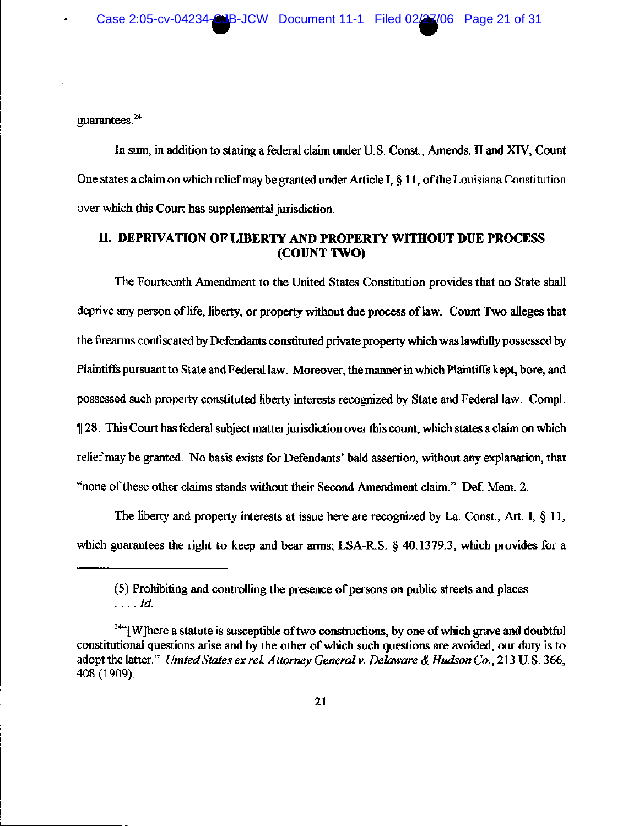guarantees. $24$ 

In sum, in addition to stating a federal claim under U.S. Const., Amends. II and XIV, Count One states a claim on which relief may be granted under Article I,  $\S 11$ , of the Louisiana Constitution over which this Court has supplemental jurisdiction.

# II. DEPRIVATION OF LIBERTY AND PROPERTY WITHOUT DUE PROCESS (COUNT TWO)

The Fourteenth Amendment to the United States Constitution provides that no State shall deprive any person of life, liberty, or property without due process of law. Count Two alleges that the firearms confiscated by Defendants constituted private property which was lawfully possessed by Plaintiffs pursuant to State and Federal law. Moreover, the manner in which Plaintiffs kept, bore, and possessed such property constituted liberty interests recognized by State and Federal law. Compl. 128. This Court has federal subject matter jurisdiction over this count, which states a claim on which relief may be granted. No basis exists for Defendants' bald assertion, without any explanation, that "none of these other claims stands without their Second Amendment claim." Def. Mem. 2.

The liberty and property interests at issue here are recognized by La. Const., Art. I, § 11, which guarantees the right to keep and bear arms; LSA-R.S. § 40:1379.3, which provides for a

<sup>(5)</sup> Prohibiting and controlling the presence of persons on public streets and places  $\ldots$   $Id.$ 

<sup>&</sup>lt;sup>24"</sup>[W]here a statute is susceptible of two constructions, by one of which grave and doubtful constitutional questions arise and by the other of which such questions are avoided, our duty is to adopt the latter." United States ex rel. Attorney General v. Delaware & Hudson Co., 213 U.S. 366, 408 (1909).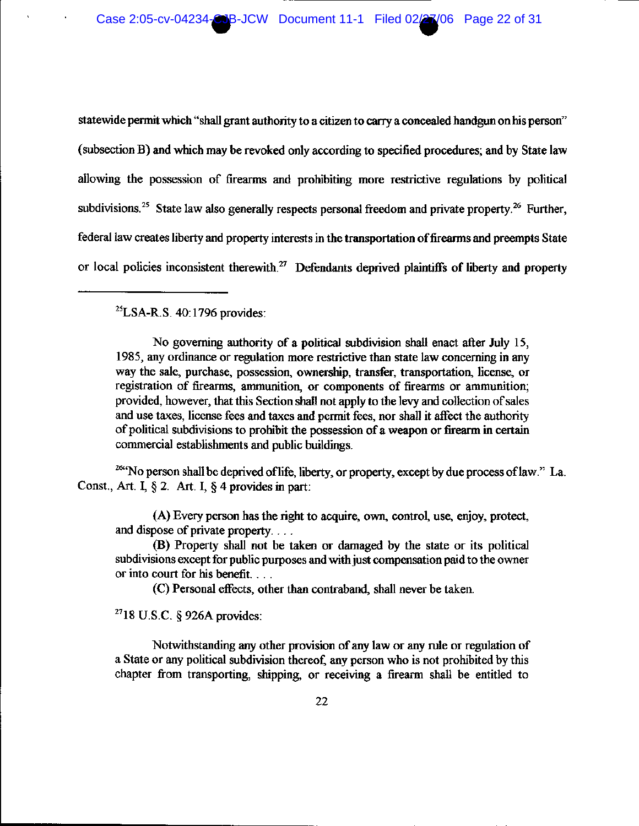Case 2:05-cv-04234-CJB-JCW Document 11-1 Filed 02/27/06 Page 22 of 31

statewide permit which "shall grant authority to a citizen to carry a concealed handgun on his person" (subsection B) and which may be revoked only according to specified procedures; and by State law allowing the possession of firearms and prohibiting more restrictive regulations by political subdivisions.<sup>25</sup> State law also generally respects personal freedom and private property.<sup>26</sup> Further, federal law creates liberty and property interests in the transportation of firearms and preempts State or local policies inconsistent therewith.<sup>27</sup> Defendants deprived plaintiffs of liberty and property

 $^{25}$ LSA-R.S. 40:1796 provides:

No governing authority of a political subdivision shall enact after July 15, 1985, any ordinance or regulation more restrictive than state law concerning in any way the sale, purchase, possession, ownership, transfer, transportation, license, or registration of firearms, ammunition, or components of firearms or ammunition; provided, however, that this Section shall not apply to the levy and collection of sales and use taxes, license fees and taxes and permit fees, nor shall it affect the authority of political subdivisions to prohibit the possession of a weapon or firearm in certain commercial establishments and public buildings.

<sup>264</sup>No person shall be deprived of life, liberty, or property, except by due process of law." La. Const., Art. I,  $\S 2$ . Art. I,  $\S 4$  provides in part:

(A) Every person has the right to acquire, own, control, use, enjoy, protect, and dispose of private property....

(B) Property shall not be taken or damaged by the state or its political subdivisions except for public purposes and with just compensation paid to the owner or into court for his benefit....

(C) Personal effects, other than contraband, shall never be taken.

 $^{27}$ 18 U.S.C. § 926A provides:

Notwithstanding any other provision of any law or any rule or regulation of a State or any political subdivision thereof, any person who is not prohibited by this chapter from transporting, shipping, or receiving a firearm shall be entitled to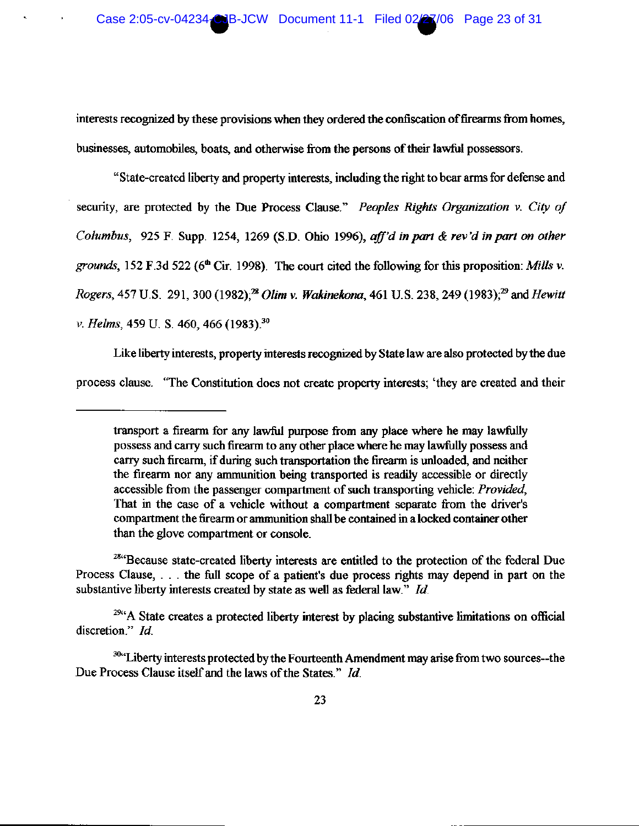interests recognized by these provisions when they ordered the confiscation of firearms from homes, businesses, automobiles, boats, and otherwise from the persons of their lawful possessors.

"State-created liberty and property interests, including the right to bear arms for defense and security, are protected by the Due Process Clause." Peoples Rights Organization v. City of Columbus, 925 F. Supp. 1254, 1269 (S.D. Ohio 1996), aff'd in part & rev'd in part on other grounds, 152 F.3d 522 ( $6^{\text{th}}$  Cir. 1998). The court cited the following for this proposition: Mills v. Rogers, 457 U.S. 291, 300 (1982);<sup>28</sup> Olim v. Wakinekona, 461 U.S. 238, 249 (1983);<sup>29</sup> and Hewitt v. Helms, 459 U. S. 460, 466 (1983).<sup>30</sup>

Like liberty interests, property interests recognized by State law are also protected by the due process clause. "The Constitution does not create property interests; 'they are created and their

transport a firearm for any lawful purpose from any place where he may lawfully possess and carry such firearm to any other place where he may lawfully possess and carry such firearm, if during such transportation the firearm is unloaded, and neither the firearm nor any ammunition being transported is readily accessible or directly accessible from the passenger compartment of such transporting vehicle: Provided, That in the case of a vehicle without a compartment separate from the driver's compartment the firearm or ammunition shall be contained in a locked container other than the glove compartment or console.

<sup>&</sup>lt;sup>284</sup>Because state-created liberty interests are entitled to the protection of the federal Due Process Clause, ... the full scope of a patient's due process rights may depend in part on the substantive liberty interests created by state as well as federal law." Id.

<sup>&</sup>lt;sup>29t</sup><sup>29t</sup>A State creates a protected liberty interest by placing substantive limitations on official discretion." Id.

<sup>30</sup>x<sup>4</sup>Liberty interests protected by the Fourteenth Amendment may arise from two sources--the Due Process Clause itself and the laws of the States." Id.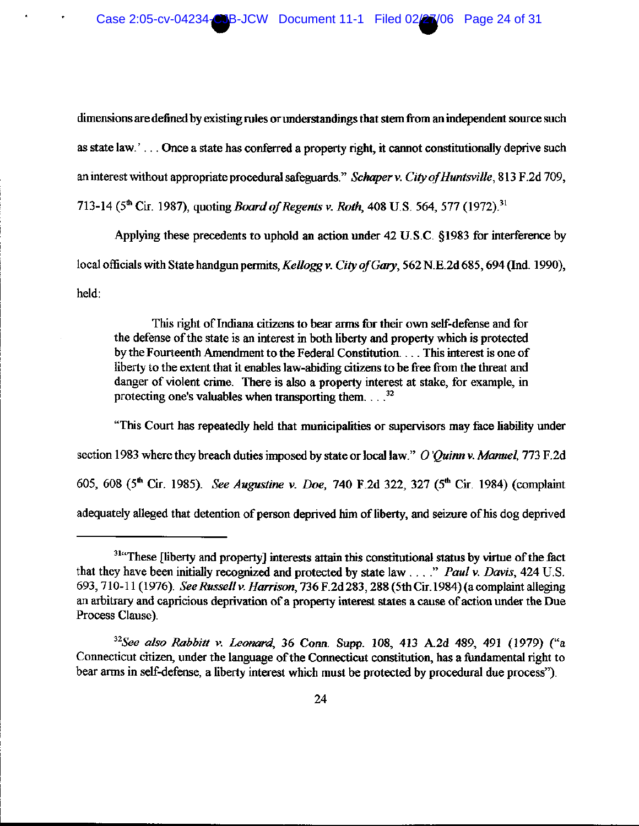dimensions are defined by existing rules or understandings that stem from an independent source such as state law.'... Once a state has conferred a property right, it cannot constitutionally deprive such an interest without appropriate procedural safeguards." Schaper v. City of Huntsville, 813 F.2d 709, 713-14 (5<sup>th</sup> Cir. 1987), quoting *Board of Regents v. Roth*, 408 U.S. 564, 577 (1972).<sup>31</sup>

Applying these precedents to uphold an action under 42 U.S.C. §1983 for interference by local officials with State handgun permits, Kellogg v. City of Gary, 562 N.E.2d 685, 694 (Ind. 1990), held:

This right of Indiana citizens to bear arms for their own self-defense and for the defense of the state is an interest in both liberty and property which is protected by the Fourteenth Amendment to the Federal Constitution. . . . This interest is one of liberty to the extent that it enables law-abiding citizens to be free from the threat and danger of violent crime. There is also a property interest at stake, for example, in protecting one's valuables when transporting them.  $3<sup>2</sup>$ 

"This Court has repeatedly held that municipalities or supervisors may face liability under section 1983 where they breach duties imposed by state or local law." O'Ouinn v. Manuel, 773 F.2d 605, 608 (5<sup>th</sup> Cir. 1985). See Augustine v. Doe, 740 F.2d 322, 327 (5<sup>th</sup> Cir. 1984) (complaint adequately alleged that detention of person deprived him of liberty, and seizure of his dog deprived

<sup>&</sup>lt;sup>314</sup>These [liberty and property] interests attain this constitutional status by virtue of the fact that they have been initially recognized and protected by state law  $\ldots$ ." Paul v. Davis, 424 U.S. 693, 710-11 (1976). See Russell v. Harrison, 736 F.2d 283, 288 (5th Cir. 1984) (a complaint alleging an arbitrary and capricious deprivation of a property interest states a cause of action under the Due Process Clause).

 $32$ See also Rabbitt v. Leonard, 36 Conn. Supp. 108, 413 A.2d 489, 491 (1979) ("a Connecticut citizen, under the language of the Connecticut constitution, has a fundamental right to bear arms in self-defense, a liberty interest which must be protected by procedural due process").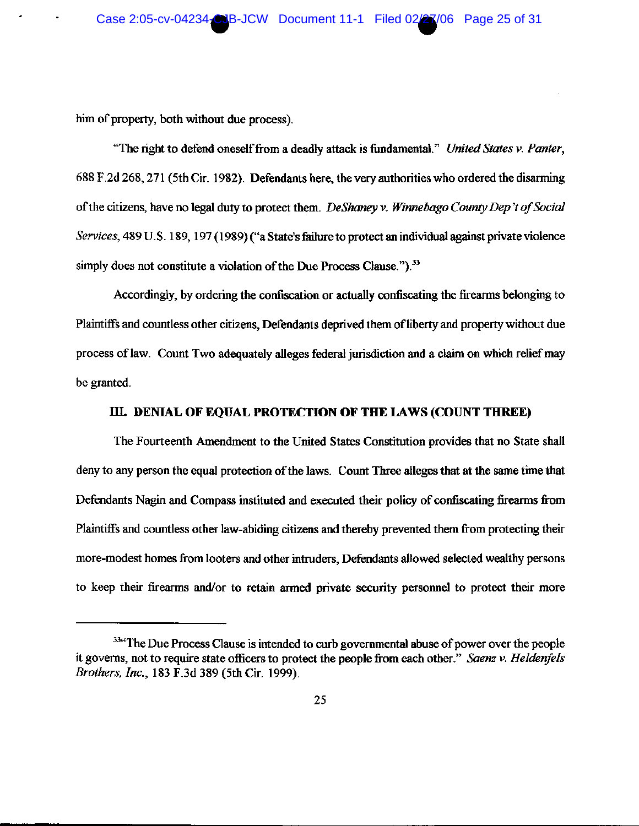him of property, both without due process).

"The right to defend oneself from a deadly attack is fundamental." United States v. Panter, 688 F.2d 268, 271 (5th Cir. 1982). Defendants here, the very authorities who ordered the disarming of the citizens, have no legal duty to protect them. DeShaney v. Winnebago County Dep't of Social Services, 489 U.S. 189, 197 (1989) ("a State's failure to protect an individual against private violence simply does not constitute a violation of the Due Process Clause.").<sup>33</sup>

Accordingly, by ordering the confiscation or actually confiscating the firearms belonging to Plaintiffs and countless other citizens, Defendants deprived them of liberty and property without due process of law. Count Two adequately alleges federal jurisdiction and a claim on which relief may be granted.

### III. DENIAL OF EQUAL PROTECTION OF THE LAWS (COUNT THREE)

The Fourteenth Amendment to the United States Constitution provides that no State shall deny to any person the equal protection of the laws. Count Three alleges that at the same time that Defendants Nagin and Compass instituted and executed their policy of confiscating firearms from Plaintiffs and countless other law-abiding citizens and thereby prevented them from protecting their more-modest homes from looters and other intruders, Defendants allowed selected wealthy persons to keep their firearms and/or to retain armed private security personnel to protect their more

<sup>&</sup>lt;sup>334</sup>The Due Process Clause is intended to curb governmental abuse of power over the people it governs, not to require state officers to protect the people from each other." Saenz v. Heldenfels Brothers, Inc., 183 F.3d 389 (5th Cir. 1999).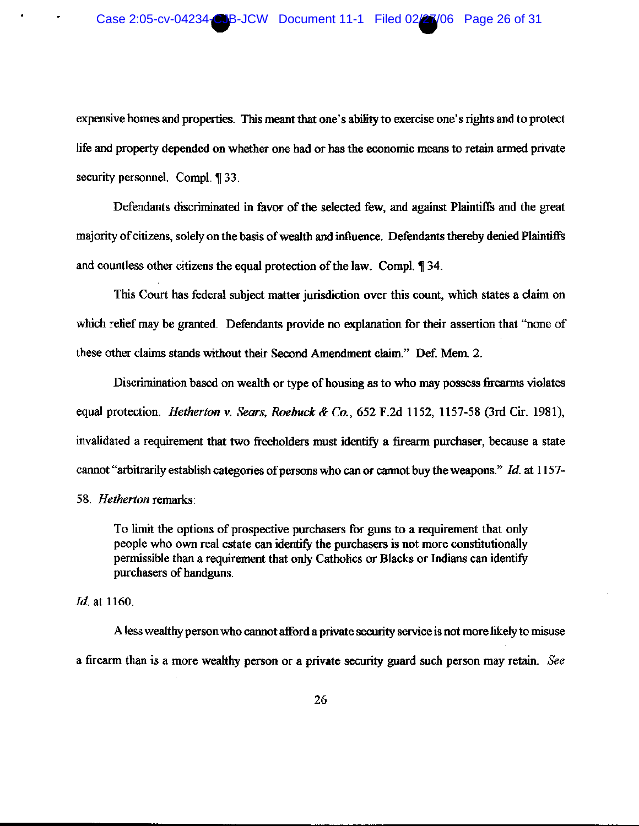### Case 2:05-cv-04234-CJB-JCW Document 11-1 Filed 02/27/06 Page 26 of 31

expensive homes and properties. This meant that one's ability to exercise one's rights and to protect life and property depended on whether one had or has the economic means to retain armed private security personnel. Compl. ¶ 33.

Defendants discriminated in favor of the selected few, and against Plaintiffs and the great majority of citizens, solely on the basis of wealth and influence. Defendants thereby denied Plaintiffs and countless other citizens the equal protection of the law. Compl. 1 34.

This Court has federal subject matter jurisdiction over this count, which states a claim on which relief may be granted. Defendants provide no explanation for their assertion that "none of these other claims stands without their Second Amendment claim." Def. Mem. 2.

Discrimination based on wealth or type of housing as to who may possess firearms violates equal protection. Hetherton v. Sears, Roebuck & Co., 652 F.2d 1152, 1157-58 (3rd Cir. 1981), invalidated a requirement that two freeholders must identify a firearm purchaser, because a state cannot "arbitrarily establish categories of persons who can or cannot buy the weapons." Id. at 1157-

58. Hetherton remarks:

To limit the options of prospective purchasers for guns to a requirement that only people who own real estate can identify the purchasers is not more constitutionally permissible than a requirement that only Catholics or Blacks or Indians can identify purchasers of handguns.

Id. at 1160.

A less wealthy person who cannot afford a private security service is not more likely to misuse a firearm than is a more wealthy person or a private security guard such person may retain. See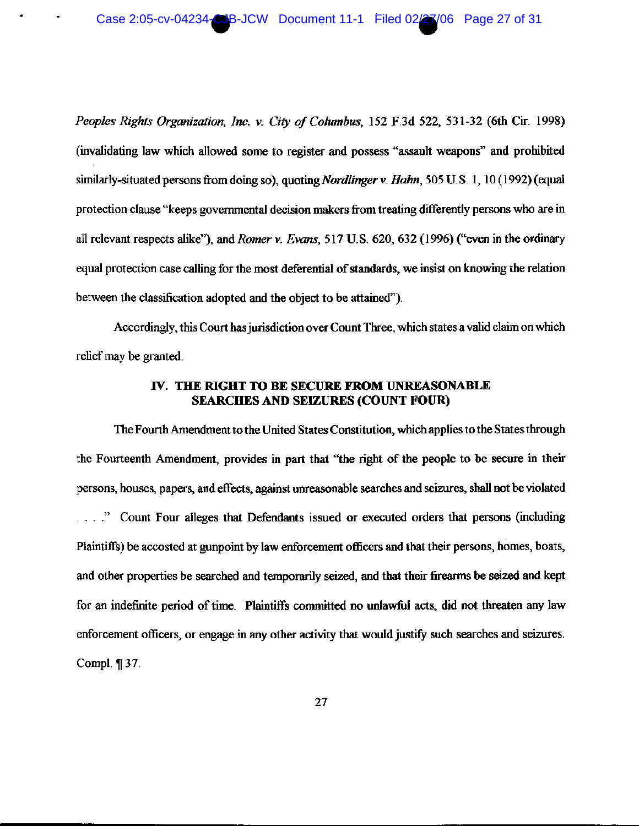Peoples Rights Organization, Inc. v. City of Columbus, 152 F.3d 522, 531-32 (6th Cir. 1998) (invalidating law which allowed some to register and possess "assault weapons" and prohibited similarly-situated persons from doing so), quoting *Nordlinger v. Hahn*, 505 U.S. 1, 10 (1992) (equal protection clause "keeps governmental decision makers from treating differently persons who are in all relevant respects alike"), and *Romer v. Evans*, 517 U.S. 620, 632 (1996) ("even in the ordinary equal protection case calling for the most deferential of standards, we insist on knowing the relation between the classification adopted and the object to be attained").

Accordingly, this Court has jurisdiction over Count Three, which states a valid claim on which relief may be granted.

# IV. THE RIGHT TO BE SECURE FROM UNREASONABLE **SEARCHES AND SEIZURES (COUNT FOUR)**

The Fourth Amendment to the United States Constitution, which applies to the States through the Fourteenth Amendment, provides in part that "the right of the people to be secure in their persons, houses, papers, and effects, against unreasonable searches and seizures, shall not be violated ...." Count Four alleges that Defendants issued or executed orders that persons (including Plaintiffs) be accosted at gunpoint by law enforcement officers and that their persons, homes, boats, and other properties be searched and temporarily seized, and that their firearms be seized and kept for an indefinite period of time. Plaintiffs committed no unlawful acts, did not threaten any law enforcement officers, or engage in any other activity that would justify such searches and seizures. Compl. ¶ 37.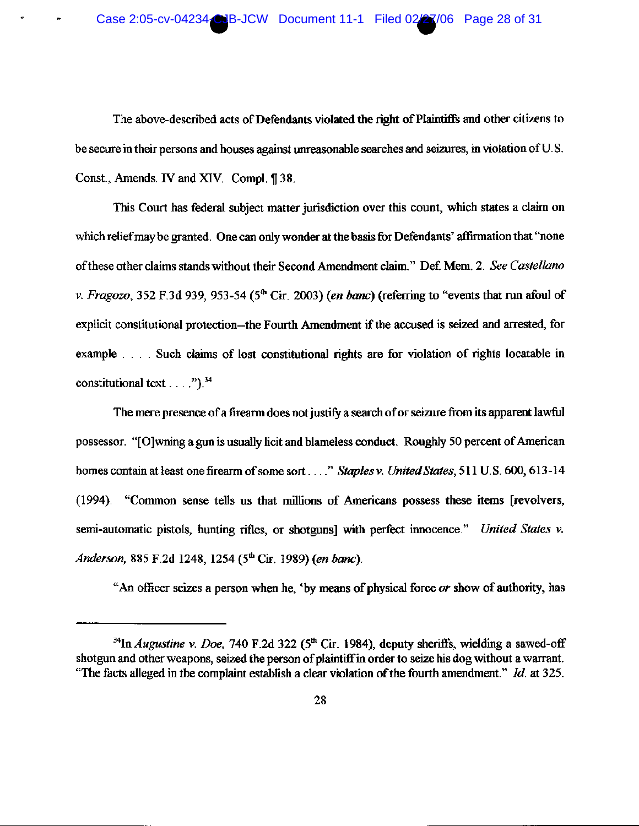The above-described acts of Defendants violated the right of Plaintiffs and other citizens to be secure in their persons and houses against unreasonable searches and seizures, in violation of U.S. Const., Amends. IV and XIV. Compl. ¶ 38.

This Court has federal subject matter jurisdiction over this count, which states a claim on which relief may be granted. One can only wonder at the basis for Defendants' affirmation that "none of these other claims stands without their Second Amendment claim." Def. Mem. 2. See Castellano v. Fragozo, 352 F.3d 939, 953-54 ( $5<sup>th</sup>$  Cir. 2003) (en banc) (referring to "events that run afoul of explicit constitutional protection--the Fourth Amendment if the accused is seized and arrested, for example . . . . Such claims of lost constitutional rights are for violation of rights locatable in constitutional text . . . . " $)^{34}$ 

The mere presence of a firearm does not justify a search of or seizure from its apparent lawful possessor. "[O] wning a gun is usually licit and blameless conduct. Roughly 50 percent of American homes contain at least one firearm of some sort . . . . " Staples v. United States, 511 U.S. 600, 613-14 (1994). "Common sense tells us that millions of Americans possess these items [revolvers, semi-automatic pistols, hunting rifles, or shotguns] with perfect innocence." United States v. Anderson, 885 F.2d 1248, 1254 (5<sup>th</sup> Cir. 1989) (en banc).

"An officer seizes a person when he, 'by means of physical force  $\alpha r$  show of authority, has

<sup>&</sup>lt;sup>34</sup>In *Augustine v. Doe,* 740 F.2d 322 ( $5<sup>th</sup>$  Cir. 1984), deputy sheriffs, wielding a sawed-off shotgun and other weapons, seized the person of plaintiff in order to seize his dog without a warrant. "The facts alleged in the complaint establish a clear violation of the fourth amendment."  $Id$ . at 325.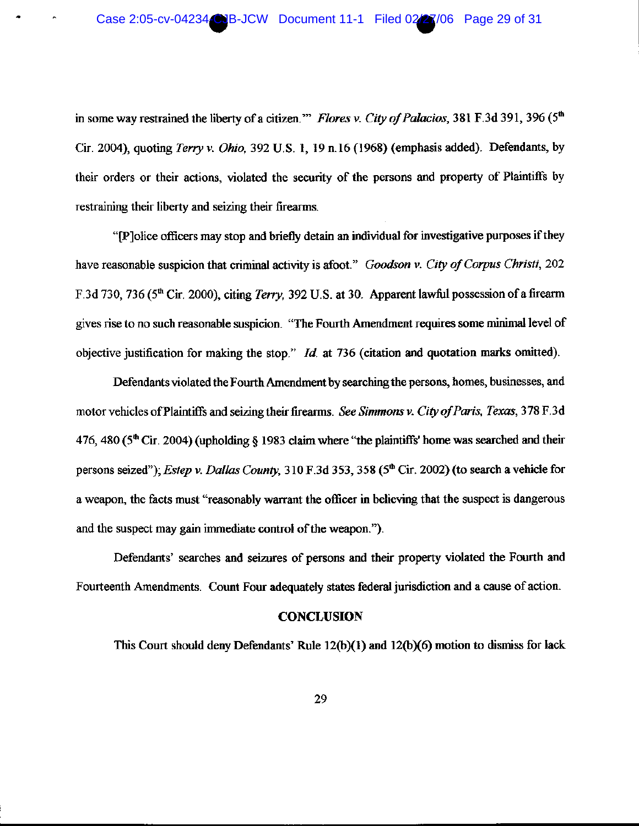in some way restrained the liberty of a citizen." Flores v. City of Palacios, 381 F.3d 391, 396 (5th Cir. 2004), quoting Terry v. Ohio, 392 U.S. 1, 19 n.16 (1968) (emphasis added). Defendants, by their orders or their actions, violated the security of the persons and property of Plaintiffs by restraining their liberty and seizing their firearms.

"[P]olice officers may stop and briefly detain an individual for investigative purposes if they have reasonable suspicion that criminal activity is afoot." Goodson v. City of Corpus Christi, 202 F.3d 730, 736 (5<sup>th</sup> Cir. 2000), citing Terry, 392 U.S. at 30. Apparent lawful possession of a firearm gives rise to no such reasonable suspicion. "The Fourth Amendment requires some minimal level of objective justification for making the stop."  $Id$ , at 736 (citation and quotation marks omitted).

Defendants violated the Fourth Amendment by searching the persons, homes, businesses, and motor vehicles of Plaintiffs and seizing their firearms. See Simmons v. City of Paris, Texas, 378 F.3d 476, 480 ( $5<sup>th</sup>$  Cir. 2004) (upholding § 1983 claim where "the plaintiffs' home was searched and their persons seized"); Estep v. Dallas County, 310 F.3d 353, 358 (5<sup>th</sup> Cir. 2002) (to search a vehicle for a weapon, the facts must "reasonably warrant the officer in believing that the suspect is dangerous and the suspect may gain immediate control of the weapon.").

Defendants' searches and seizures of persons and their property violated the Fourth and Fourteenth Amendments. Count Four adequately states federal jurisdiction and a cause of action.

### **CONCLUSION**

This Court should deny Defendants' Rule 12(b)(1) and 12(b)(6) motion to dismiss for lack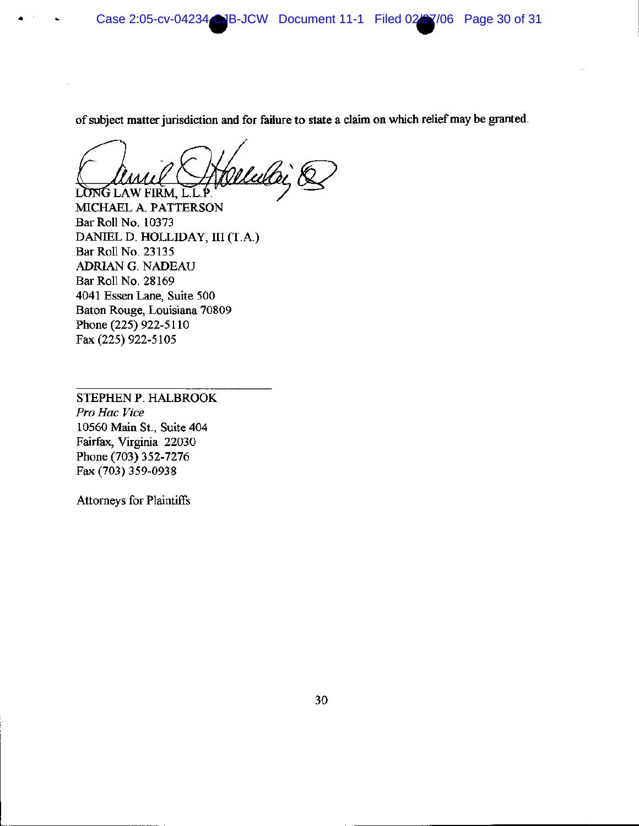Case 2:05-cv-04234-CJB-JCW Document 11-1 Filed 02/27/06 Page 30 of 31

of subject matter jurisdiction and for failure to state a claim on which relief may be granted.

LONG LAW FIRM, L.L.P

MICHAEL A. PATTERSON **Bar Roll No. 10373** DANIEL D. HOLLIDAY, III (T.A.) Bar Roll No. 23135 ADRIAN G. NADEAU Bar Roll No. 28169 4041 Essen Lane, Suite 500 Baton Rouge, Louisiana 70809 Phone (225) 922-5110 Fax (225) 922-5105

STEPHEN P. HALBROOK Pro Hac Vice 10560 Main St., Suite 404 Fairfax, Virginia 22030 Phone (703) 352-7276 Fax (703) 359-0938

Attorneys for Plaintiffs